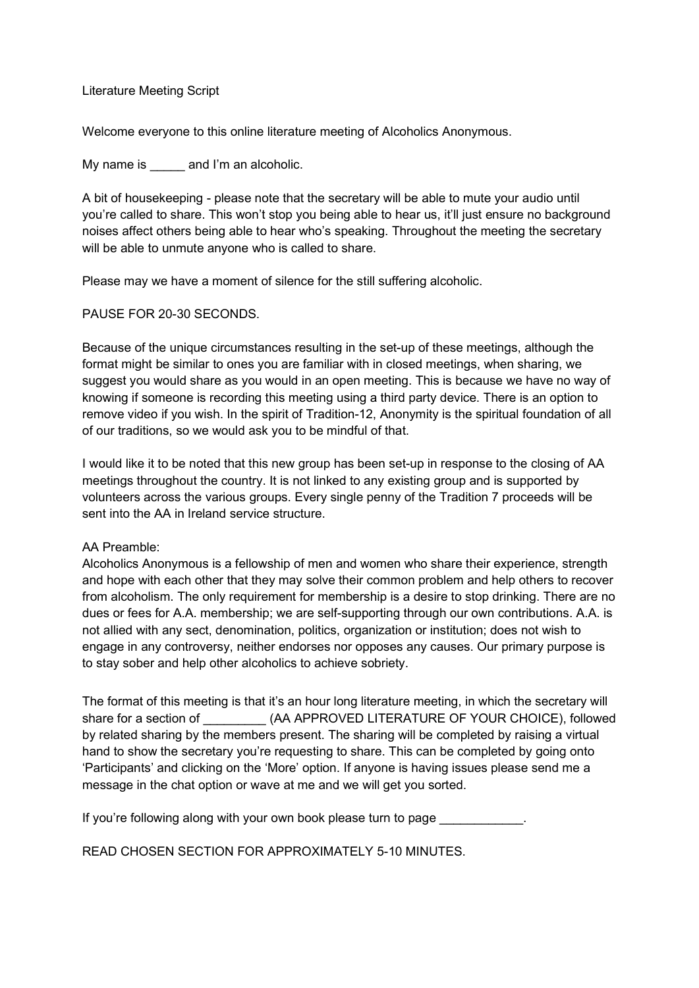Literature Meeting Script

Welcome everyone to this online literature meeting of Alcoholics Anonymous.

My name is eand I'm an alcoholic.

A bit of housekeeping - please note that the secretary will be able to mute your audio until you're called to share. This won't stop you being able to hear us, it'll just ensure no background noises affect others being able to hear who's speaking. Throughout the meeting the secretary will be able to unmute anyone who is called to share.

Please may we have a moment of silence for the still suffering alcoholic.

PAUSE FOR 20-30 SECONDS.

Because of the unique circumstances resulting in the set-up of these meetings, although the format might be similar to ones you are familiar with in closed meetings, when sharing, we suggest you would share as you would in an open meeting. This is because we have no way of knowing if someone is recording this meeting using a third party device. There is an option to remove video if you wish. In the spirit of Tradition-12, Anonymity is the spiritual foundation of all of our traditions, so we would ask you to be mindful of that.

I would like it to be noted that this new group has been set-up in response to the closing of AA meetings throughout the country. It is not linked to any existing group and is supported by volunteers across the various groups. Every single penny of the Tradition 7 proceeds will be sent into the AA in Ireland service structure.

## AA Preamble:

Alcoholics Anonymous is a fellowship of men and women who share their experience, strength and hope with each other that they may solve their common problem and help others to recover from alcoholism. The only requirement for membership is a desire to stop drinking. There are no dues or fees for A.A. membership; we are self-supporting through our own contributions. A.A. is not allied with any sect, denomination, politics, organization or institution; does not wish to engage in any controversy, neither endorses nor opposes any causes. Our primary purpose is to stay sober and help other alcoholics to achieve sobriety.

The format of this meeting is that it's an hour long literature meeting, in which the secretary will share for a section of  $(AA APPROVED LITERATURE OF YOUR CHOICE)$ , followed by related sharing by the members present. The sharing will be completed by raising a virtual hand to show the secretary you're requesting to share. This can be completed by going onto 'Participants' and clicking on the 'More' option. If anyone is having issues please send me a message in the chat option or wave at me and we will get you sorted.

If you're following along with your own book please turn to page

READ CHOSEN SECTION FOR APPROXIMATELY 5-10 MINUTES.